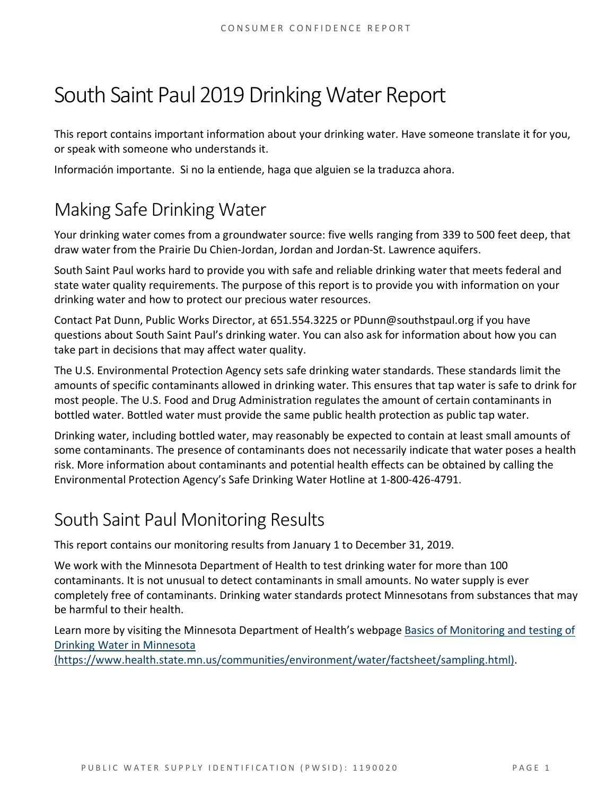# South Saint Paul 2019 Drinking Water Report

This report contains important information about your drinking water. Have someone translate it for you, or speak with someone who understands it.

Información importante. Si no la entiende, haga que alguien se la traduzca ahora.

## Making Safe Drinking Water

Your drinking water comes from a groundwater source: five wells ranging from 339 to 500 feet deep, that draw water from the Prairie Du Chien-Jordan, Jordan and Jordan-St. Lawrence aquifers.

South Saint Paul works hard to provide you with safe and reliable drinking water that meets federal and state water quality requirements. The purpose of this report is to provide you with information on your drinking water and how to protect our precious water resources.

Contact Pat Dunn, Public Works Director, at 651.554.3225 or PDunn@southstpaul.org if you have questions about South Saint Paul's drinking water. You can also ask for information about how you can take part in decisions that may affect water quality.

The U.S. Environmental Protection Agency sets safe drinking water standards. These standards limit the amounts of specific contaminants allowed in drinking water. This ensures that tap water is safe to drink for most people. The U.S. Food and Drug Administration regulates the amount of certain contaminants in bottled water. Bottled water must provide the same public health protection as public tap water.

Drinking water, including bottled water, may reasonably be expected to contain at least small amounts of some contaminants. The presence of contaminants does not necessarily indicate that water poses a health risk. More information about contaminants and potential health effects can be obtained by calling the Environmental Protection Agency's Safe Drinking Water Hotline at 1-800-426-4791.

## South Saint Paul Monitoring Results

This report contains our monitoring results from January 1 to December 31, 2019.

We work with the Minnesota Department of Health to test drinking water for more than 100 contaminants. It is not unusual to detect contaminants in small amounts. No water supply is ever completely free of contaminants. Drinking water standards protect Minnesotans from substances that may be harmful to their health.

Learn more by visiting the Minnesota Department of Health's webpage [Basics of Monitoring and testing of](https://www.health.state.mn.us/communities/environment/water/factsheet/sampling.html)  [Drinking Water in Minnesota](https://www.health.state.mn.us/communities/environment/water/factsheet/sampling.html)

[\(https://www.health.state.mn.us/communities/environment/water/factsheet/sampling.html\).](https://www.health.state.mn.us/communities/environment/water/factsheet/sampling.html)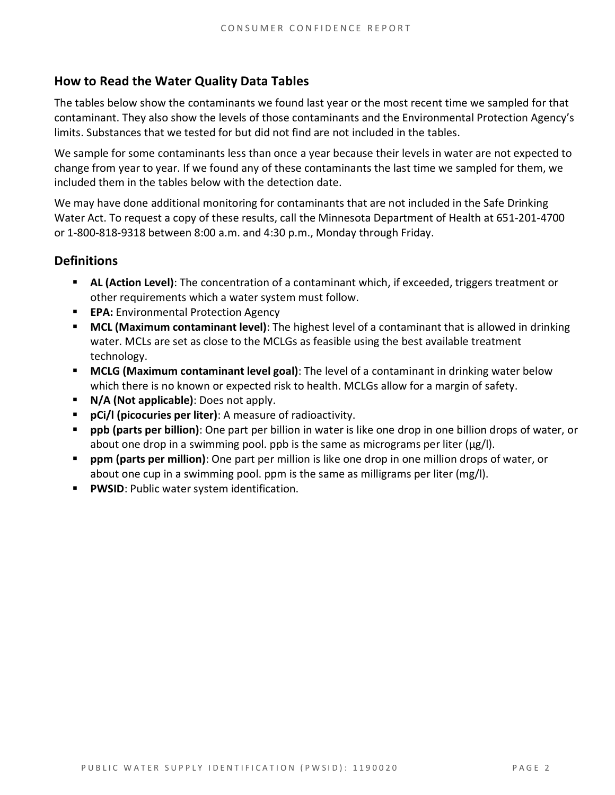#### **How to Read the Water Quality Data Tables**

The tables below show the contaminants we found last year or the most recent time we sampled for that contaminant. They also show the levels of those contaminants and the Environmental Protection Agency's limits. Substances that we tested for but did not find are not included in the tables.

We sample for some contaminants less than once a year because their levels in water are not expected to change from year to year. If we found any of these contaminants the last time we sampled for them, we included them in the tables below with the detection date.

We may have done additional monitoring for contaminants that are not included in the Safe Drinking Water Act. To request a copy of these results, call the Minnesota Department of Health at 651-201-4700 or 1-800-818-9318 between 8:00 a.m. and 4:30 p.m., Monday through Friday.

#### **Definitions**

- **AL (Action Level)**: The concentration of a contaminant which, if exceeded, triggers treatment or other requirements which a water system must follow.
- **EPA:** Environmental Protection Agency
- **MCL (Maximum contaminant level)**: The highest level of a contaminant that is allowed in drinking water. MCLs are set as close to the MCLGs as feasible using the best available treatment technology.
- **MCLG (Maximum contaminant level goal)**: The level of a contaminant in drinking water below which there is no known or expected risk to health. MCLGs allow for a margin of safety.
- **N/A (Not applicable)**: Does not apply.
- **pCi/l (picocuries per liter)**: A measure of radioactivity.
- **ppb (parts per billion)**: One part per billion in water is like one drop in one billion drops of water, or about one drop in a swimming pool. ppb is the same as micrograms per liter ( $\mu$ g/l).
- **ppm (parts per million)**: One part per million is like one drop in one million drops of water, or about one cup in a swimming pool. ppm is the same as milligrams per liter (mg/l).
- **PWSID:** Public water system identification.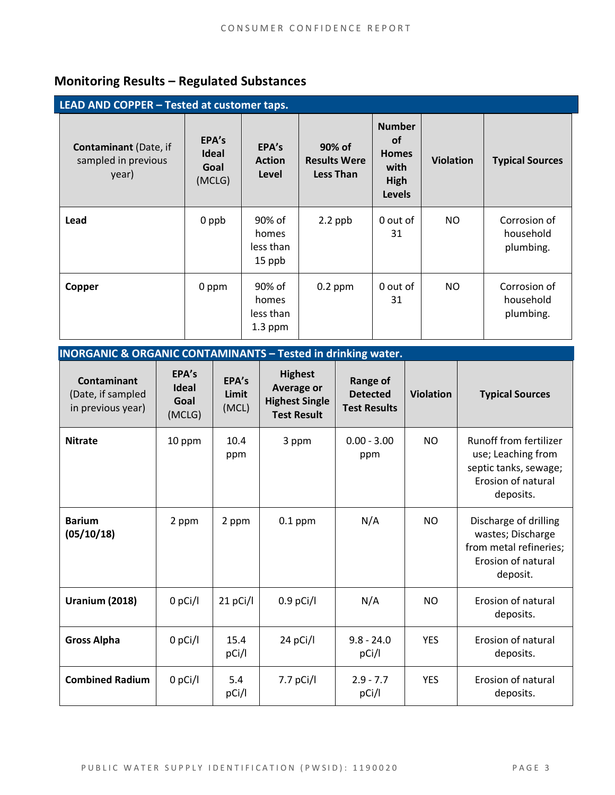### **Monitoring Results – Regulated Substances**

| LEAD AND COPPER - Tested at customer taps.                   |                                         |                                           |                                                   |                                                                             |                  |                                        |
|--------------------------------------------------------------|-----------------------------------------|-------------------------------------------|---------------------------------------------------|-----------------------------------------------------------------------------|------------------|----------------------------------------|
| <b>Contaminant (Date, if</b><br>sampled in previous<br>year) | EPA's<br><b>Ideal</b><br>Goal<br>(MCLG) | EPA's<br><b>Action</b><br>Level           | 90% of<br><b>Results Were</b><br><b>Less Than</b> | <b>Number</b><br><b>of</b><br><b>Homes</b><br>with<br>High<br><b>Levels</b> | <b>Violation</b> | <b>Typical Sources</b>                 |
| Lead                                                         | 0 ppb                                   | 90% of<br>homes<br>less than<br>15 ppb    | $2.2$ ppb                                         | 0 out of<br>31                                                              | NO               | Corrosion of<br>household<br>plumbing. |
| Copper                                                       | 0 ppm                                   | 90% of<br>homes<br>less than<br>$1.3$ ppm | $0.2$ ppm                                         | 0 out of<br>31                                                              | NO.              | Corrosion of<br>household<br>plumbing. |

| <b>INORGANIC &amp; ORGANIC CONTAMINANTS - Tested in drinking water.</b> |                                         |                         |                                                                                    |                                                           |                  |                                                                                                                 |
|-------------------------------------------------------------------------|-----------------------------------------|-------------------------|------------------------------------------------------------------------------------|-----------------------------------------------------------|------------------|-----------------------------------------------------------------------------------------------------------------|
| <b>Contaminant</b><br>(Date, if sampled<br>in previous year)            | EPA's<br><b>Ideal</b><br>Goal<br>(MCLG) | EPA's<br>Limit<br>(MCL) | <b>Highest</b><br><b>Average or</b><br><b>Highest Single</b><br><b>Test Result</b> | <b>Range of</b><br><b>Detected</b><br><b>Test Results</b> | <b>Violation</b> | <b>Typical Sources</b>                                                                                          |
| <b>Nitrate</b>                                                          | 10 ppm                                  | 10.4<br>ppm             | 3 ppm                                                                              | $0.00 - 3.00$<br>ppm                                      | <b>NO</b>        | <b>Runoff from fertilizer</b><br>use; Leaching from<br>septic tanks, sewage;<br>Erosion of natural<br>deposits. |
| <b>Barium</b><br>(05/10/18)                                             | 2 ppm                                   | 2 ppm                   | $0.1$ ppm                                                                          | N/A                                                       | <b>NO</b>        | Discharge of drilling<br>wastes; Discharge<br>from metal refineries;<br>Erosion of natural<br>deposit.          |
| <b>Uranium (2018)</b>                                                   | $0$ pCi/l                               | 21 pCi/l                | $0.9$ pCi/l                                                                        | N/A                                                       | NO.              | Erosion of natural<br>deposits.                                                                                 |
| <b>Gross Alpha</b>                                                      | $0$ pCi/l                               | 15.4<br>pCi/l           | 24 pCi/l                                                                           | $9.8 - 24.0$<br>pCi/l                                     | <b>YES</b>       | Erosion of natural<br>deposits.                                                                                 |
| <b>Combined Radium</b>                                                  | $0$ pCi/l                               | 5.4<br>pCi/l            | 7.7 $pCi/I$                                                                        | $2.9 - 7.7$<br>pCi/l                                      | <b>YES</b>       | Erosion of natural<br>deposits.                                                                                 |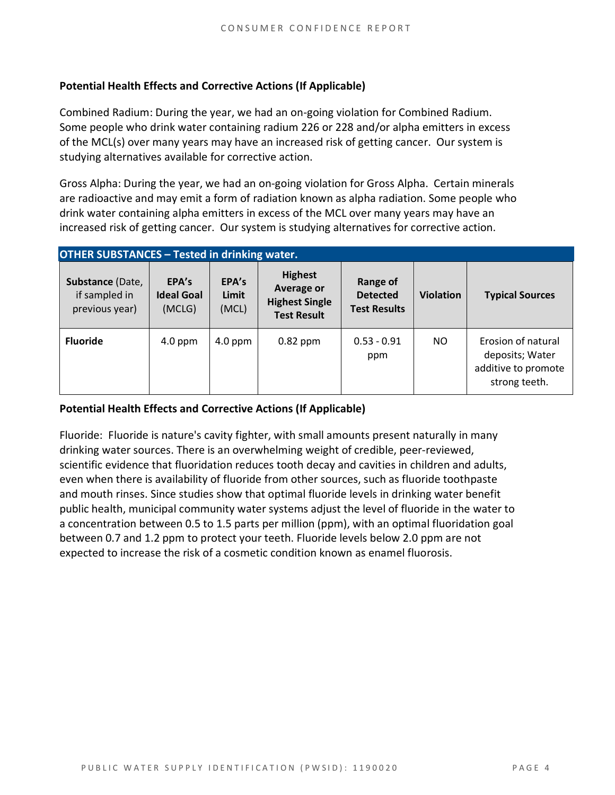#### **Potential Health Effects and Corrective Actions (If Applicable)**

Combined Radium: During the year, we had an on-going violation for Combined Radium. Some people who drink water containing radium 226 or 228 and/or alpha emitters in excess of the MCL(s) over many years may have an increased risk of getting cancer. Our system is studying alternatives available for corrective action.

Gross Alpha: During the year, we had an on-going violation for Gross Alpha. Certain minerals are radioactive and may emit a form of radiation known as alpha radiation. Some people who drink water containing alpha emitters in excess of the MCL over many years may have an increased risk of getting cancer. Our system is studying alternatives for corrective action.

| <b>OTHER SUBSTANCES - Tested in drinking water.</b> |                                      |                         |                                                                             |                                                    |                  |                                                                               |
|-----------------------------------------------------|--------------------------------------|-------------------------|-----------------------------------------------------------------------------|----------------------------------------------------|------------------|-------------------------------------------------------------------------------|
| Substance (Date,<br>if sampled in<br>previous year) | EPA's<br><b>Ideal Goal</b><br>(MCLG) | EPA's<br>Limit<br>(MCL) | <b>Highest</b><br>Average or<br><b>Highest Single</b><br><b>Test Result</b> | Range of<br><b>Detected</b><br><b>Test Results</b> | <b>Violation</b> | <b>Typical Sources</b>                                                        |
| <b>Fluoride</b>                                     | $4.0$ ppm                            | $4.0$ ppm               | $0.82$ ppm                                                                  | $0.53 - 0.91$<br>ppm                               | NO.              | Erosion of natural<br>deposits; Water<br>additive to promote<br>strong teeth. |

#### **Potential Health Effects and Corrective Actions (If Applicable)**

Fluoride: Fluoride is nature's cavity fighter, with small amounts present naturally in many drinking water sources. There is an overwhelming weight of credible, peer-reviewed, scientific evidence that fluoridation reduces tooth decay and cavities in children and adults, even when there is availability of fluoride from other sources, such as fluoride toothpaste and mouth rinses. Since studies show that optimal fluoride levels in drinking water benefit public health, municipal community water systems adjust the level of fluoride in the water to a concentration between 0.5 to 1.5 parts per million (ppm), with an optimal fluoridation goal between 0.7 and 1.2 ppm to protect your teeth. Fluoride levels below 2.0 ppm are not expected to increase the risk of a cosmetic condition known as enamel fluorosis.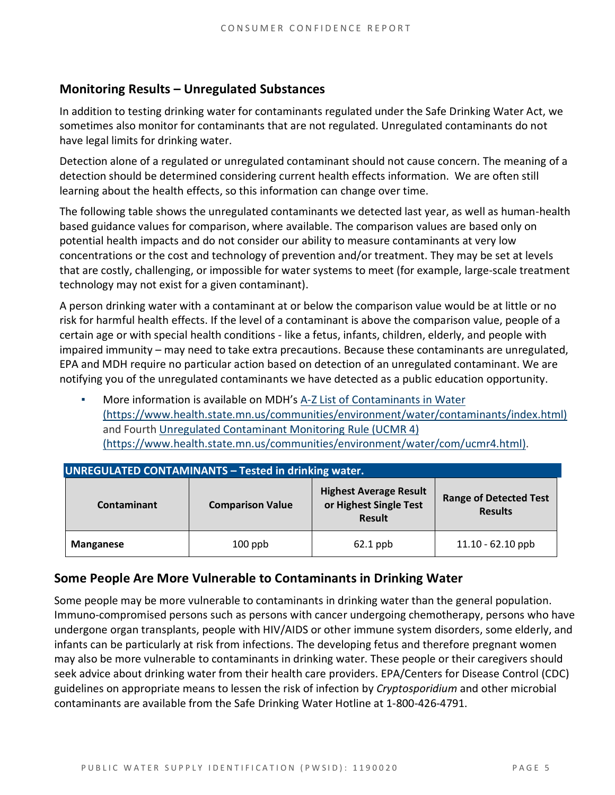#### **Monitoring Results – Unregulated Substances**

In addition to testing drinking water for contaminants regulated under the Safe Drinking Water Act, we sometimes also monitor for contaminants that are not regulated. Unregulated contaminants do not have legal limits for drinking water.

Detection alone of a regulated or unregulated contaminant should not cause concern. The meaning of a detection should be determined considering current health effects information. We are often still learning about the health effects, so this information can change over time.

The following table shows the unregulated contaminants we detected last year, as well as human-health based guidance values for comparison, where available. The comparison values are based only on potential health impacts and do not consider our ability to measure contaminants at very low concentrations or the cost and technology of prevention and/or treatment. They may be set at levels that are costly, challenging, or impossible for water systems to meet (for example, large-scale treatment technology may not exist for a given contaminant).

A person drinking water with a contaminant at or below the comparison value would be at little or no risk for harmful health effects. If the level of a contaminant is above the comparison value, people of a certain age or with special health conditions - like a fetus, infants, children, elderly, and people with impaired immunity – may need to take extra precautions. Because these contaminants are unregulated, EPA and MDH require no particular action based on detection of an unregulated contaminant. We are notifying you of the unregulated contaminants we have detected as a public education opportunity.

More information is available on MDH's A-Z List of Contaminants in Water [\(https://www.health.state.mn.us/communities/environment/water/contaminants/index.html\)](https://www.health.state.mn.us/communities/environment/water/contaminants/index.html) and Fourth [Unregulated Contaminant Monitoring Rule \(UCMR 4\)](https://www.health.state.mn.us/communities/environment/water/com/ucmr4.html)  [\(https://www.health.state.mn.us/communities/environment/water/com/ucmr4.html\).](https://www.health.state.mn.us/communities/environment/water/com/ucmr4.html)

| <b>UNREGULATED CONTAMINANTS - Tested in drinking water.</b> |                         |                                                                          |                                                 |  |  |  |  |
|-------------------------------------------------------------|-------------------------|--------------------------------------------------------------------------|-------------------------------------------------|--|--|--|--|
| <b>Contaminant</b>                                          | <b>Comparison Value</b> | <b>Highest Average Result</b><br>or Highest Single Test<br><b>Result</b> | <b>Range of Detected Test</b><br><b>Results</b> |  |  |  |  |
| Manganese                                                   | $100$ ppb               | $62.1$ ppb                                                               | $11.10 - 62.10$ ppb                             |  |  |  |  |

#### **Some People Are More Vulnerable to Contaminants in Drinking Water**

Some people may be more vulnerable to contaminants in drinking water than the general population. Immuno-compromised persons such as persons with cancer undergoing chemotherapy, persons who have undergone organ transplants, people with HIV/AIDS or other immune system disorders, some elderly, and infants can be particularly at risk from infections. The developing fetus and therefore pregnant women may also be more vulnerable to contaminants in drinking water. These people or their caregivers should seek advice about drinking water from their health care providers. EPA/Centers for Disease Control (CDC) guidelines on appropriate means to lessen the risk of infection by *Cryptosporidium* and other microbial contaminants are available from the Safe Drinking Water Hotline at 1-800-426-4791.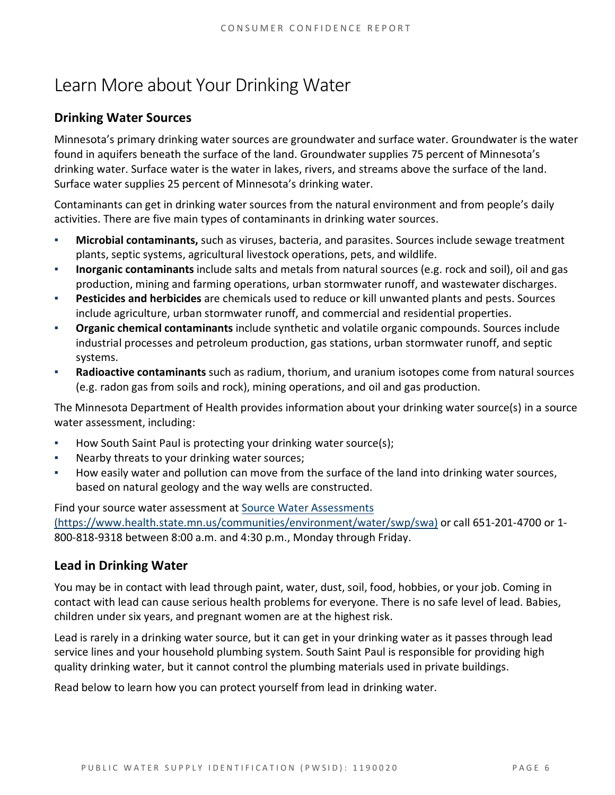## Learn More about Your Drinking Water

#### **Drinking Water Sources**

Minnesota's primary drinking water sources are groundwater and surface water. Groundwater is the water found in aquifers beneath the surface of the land. Groundwater supplies 75 percent of Minnesota's drinking water. Surface water is the water in lakes, rivers, and streams above the surface of the land. Surface water supplies 25 percent of Minnesota's drinking water.

Contaminants can get in drinking water sources from the natural environment and from people's daily activities. There are five main types of contaminants in drinking water sources.

- **Microbial contaminants,** such as viruses, bacteria, and parasites. Sources include sewage treatment plants, septic systems, agricultural livestock operations, pets, and wildlife.
- **Inorganic contaminants** include salts and metals from natural sources (e.g. rock and soil), oil and gas production, mining and farming operations, urban stormwater runoff, and wastewater discharges.
- **Pesticides and herbicides** are chemicals used to reduce or kill unwanted plants and pests. Sources include agriculture, urban stormwater runoff, and commercial and residential properties.
- **Organic chemical contaminants** include synthetic and volatile organic compounds. Sources include industrial processes and petroleum production, gas stations, urban stormwater runoff, and septic systems.
- **Radioactive contaminants** such as radium, thorium, and uranium isotopes come from natural sources (e.g. radon gas from soils and rock), mining operations, and oil and gas production.

The Minnesota Department of Health provides information about your drinking water source(s) in a source water assessment, including:

- How South Saint Paul is protecting your drinking water source(s);
- Nearby threats to your drinking water sources;
- How easily water and pollution can move from the surface of the land into drinking water sources, based on natural geology and the way wells are constructed.

Find your source water assessment a[t Source Water Assessments](https://www.health.state.mn.us/communities/environment/water/swp/swa)  [\(https://www.health.state.mn.us/communities/environment/water/swp/swa\)](https://www.health.state.mn.us/communities/environment/water/swp/swa) or call 651-201-4700 or 1- 800-818-9318 between 8:00 a.m. and 4:30 p.m., Monday through Friday.

#### **Lead in Drinking Water**

You may be in contact with lead through paint, water, dust, soil, food, hobbies, or your job. Coming in contact with lead can cause serious health problems for everyone. There is no safe level of lead. Babies, children under six years, and pregnant women are at the highest risk.

Lead is rarely in a drinking water source, but it can get in your drinking water as it passes through lead service lines and your household plumbing system. South Saint Paul is responsible for providing high quality drinking water, but it cannot control the plumbing materials used in private buildings.

Read below to learn how you can protect yourself from lead in drinking water.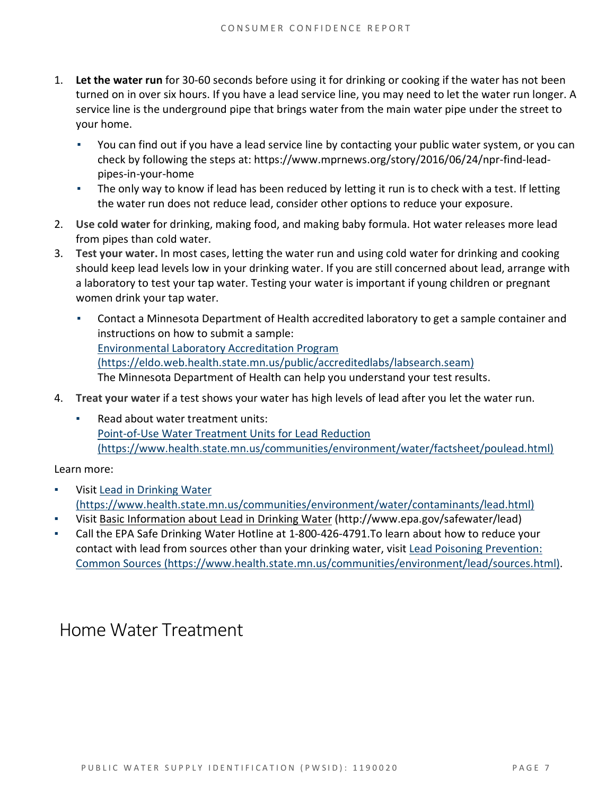- 1. **Let the water run** for 30-60 seconds before using it for drinking or cooking if the water has not been turned on in over six hours. If you have a lead service line, you may need to let the water run longer. A service line is the underground pipe that brings water from the main water pipe under the street to your home.
	- You can find out if you have a lead service line by contacting your public water system, or you can check by following the steps at: [https://www.mprnews.org/story/2016/06/24/npr-find-lead](https://www.mprnews.org/story/2016/06/24/npr-find-lead-pipes-in-your-home)[pipes-in-your-home](https://www.mprnews.org/story/2016/06/24/npr-find-lead-pipes-in-your-home)
	- **•** The only way to know if lead has been reduced by letting it run is to check with a test. If letting the water run does not reduce lead, consider other options to reduce your exposure.
- 2. **Use cold water** for drinking, making food, and making baby formula. Hot water releases more lead from pipes than cold water.
- 3. **Test your water.** In most cases, letting the water run and using cold water for drinking and cooking should keep lead levels low in your drinking water. If you are still concerned about lead, arrange with a laboratory to test your tap water. Testing your water is important if young children or pregnant women drink your tap water.
	- Contact a Minnesota Department of Health accredited laboratory to get a sample container and instructions on how to submit a sample: [Environmental Laboratory Accreditation Program](https://eldo.web.health.state.mn.us/public/accreditedlabs/labsearch.seam)  [\(https://eldo.web.health.state.mn.us/public/accreditedlabs/labsearch.seam\)](https://eldo.web.health.state.mn.us/public/accreditedlabs/labsearch.seam) The Minnesota Department of Health can help you understand your test results.
- 4. **Treat your water** if a test shows your water has high levels of lead after you let the water run.
	- Read about water treatment units: [Point-of-Use Water Treatment Units for Lead Reduction](https://www.health.state.mn.us/communities/environment/water/factsheet/poulead.html)  [\(https://www.health.state.mn.us/communities/environment/water/factsheet/poulead.html\)](https://www.health.state.mn.us/communities/environment/water/factsheet/poulead.html)

Learn more:

- Visit [Lead in Drinking Water](https://www.health.state.mn.us/communities/environment/water/contaminants/lead.html)  [\(https://www.health.state.mn.us/communities/environment/water/contaminants/lead.html\)](https://www.health.state.mn.us/communities/environment/water/contaminants/lead.html)
- Visit [Basic Information about Lead in Drinking Water](http://www.epa.gov/safewater/lead) (http://www.epa.gov/safewater/lead)
- Call the EPA Safe Drinking Water Hotline at 1-800-426-4791. To learn about how to reduce your contact with lead from sources other than your drinking water, visit [Lead Poisoning Prevention:](https://www.health.state.mn.us/communities/environment/lead/sources.html)  [Common Sources \(https://www.health.state.mn.us/communities/environment/lead/sources.html\).](https://www.health.state.mn.us/communities/environment/lead/sources.html)

### Home Water Treatment